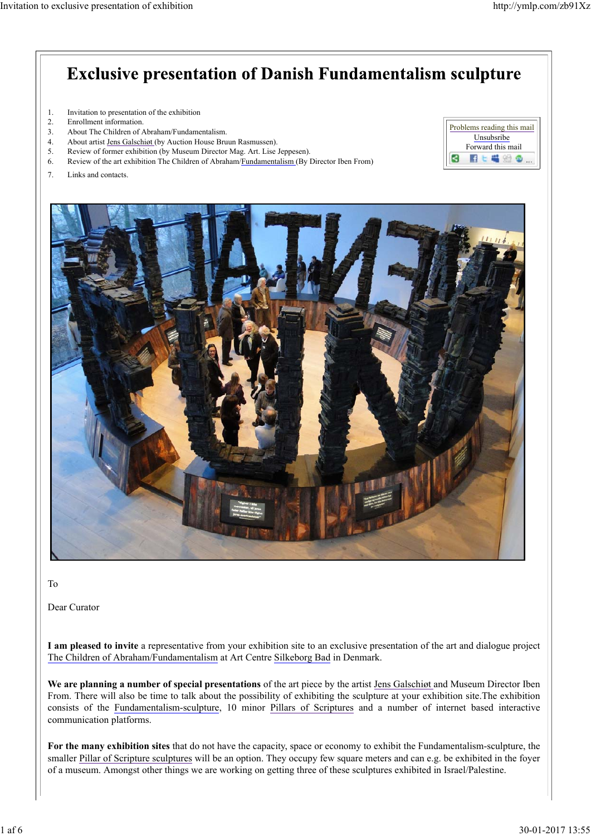Problems reading this mail Unsubsribe Forward this mail

## **Exclusive presentation of Danish Fundamentalism sculpture**

- 1. Invitation to presentation of the exhibition
- 2. Enrollment information.
- 3. About The Children of Abraham/Fundamentalism.
- 4. About artist Jens Galschiøt (by Auction House Bruun Rasmussen).
- 5. Review of former exhibition (by Museum Director Mag. Art. Lise Jeppesen).
- 6. Review of the art exhibition The Children of Abraham/Fundamentalism (By Director Iben From)
- 7. Links and contacts.



To

Dear Curator

**I am pleased to invite** a representative from your exhibition site to an exclusive presentation of the art and dialogue project The Children of Abraham/Fundamentalism at Art Centre Silkeborg Bad in Denmark.

We are planning a number of special presentations of the art piece by the artist Jens Galschiøt and Museum Director Iben From. There will also be time to talk about the possibility of exhibiting the sculpture at your exhibition site.The exhibition consists of the Fundamentalism-sculpture, 10 minor Pillars of Scriptures and a number of internet based interactive communication platforms.

**For the many exhibition sites** that do not have the capacity, space or economy to exhibit the Fundamentalism-sculpture, the smaller Pillar of Scripture sculptures will be an option. They occupy few square meters and can e.g. be exhibited in the foyer of a museum. Amongst other things we are working on getting three of these sculptures exhibited in Israel/Palestine.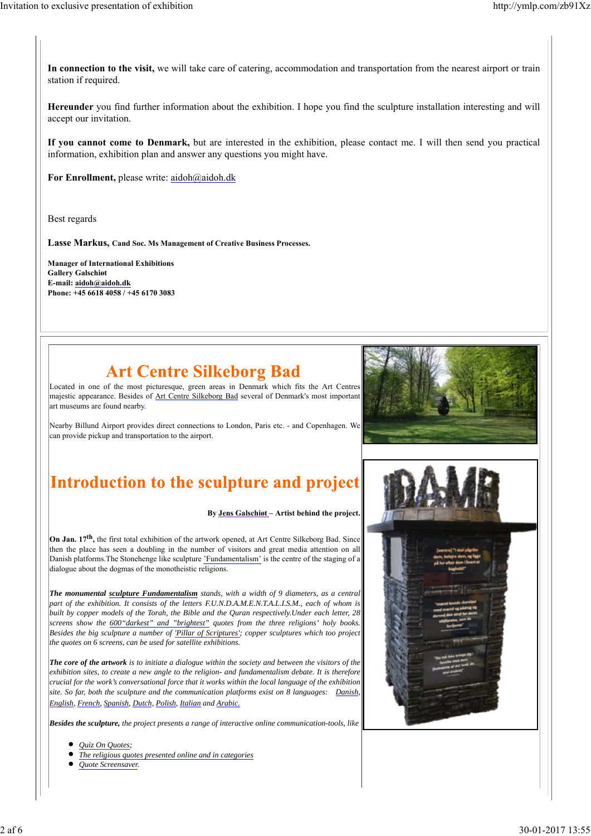**In connection to the visit,** we will take care of catering, accommodation and transportation from the nearest airport or train station if required.

**Hereunder** you find further information about the exhibition. I hope you find the sculpture installation interesting and will accept our invitation.

**If you cannot come to Denmark,** but are interested in the exhibition, please contact me. I will then send you practical information, exhibition plan and answer any questions you might have.

**For Enrollment,** please write: aidoh@aidoh.dk

Best regards

**Lasse Markus, Cand Soc. Ms Management of Creative Business Processes.**

**Manager of International Exhibitions Gallery Galschiøt E-mail: aidoh@aidoh.dk Phone: +45 6618 4058 / +45 6170 3083**

### **Art Centre Silkeborg Bad**

Located in one of the most picturesque, green areas in Denmark which fits the Art Centres majestic appearance. Besides of Art Centre Silkeborg Bad several of Denmark's most important art museums are found nearby.

Nearby Billund Airport provides direct connections to London, Paris etc. - and Copenhagen. We can provide pickup and transportation to the airport.

### Introduction to the sculpture and project

**By Jens Galschiøt – Artist behind the project.**

**On Jan. 17th,** the first total exhibition of the artwork opened, at Art Centre Silkeborg Bad. Since then the place has seen a doubling in the number of visitors and great media attention on all Danish platforms.The Stonehenge like sculpture 'Fundamentalism' is the centre of the staging of a dialogue about the dogmas of the monotheistic religions.

*The monumental sculpture Fundamentalism stands, with a width of 9 diameters, as a central part of the exhibition. It consists of the letters F.U.N.D.A.M.E.N.T.A.L.I.S.M., each of whom is built by copper models of the Torah, the Bible and the Quran respectively.Under each letter, 28 screens show the 600"darkest" and "brightest" quotes from the three religions' holy books. Besides the big sculpture a number of 'Pillar of Scriptures'; copper sculptures which too project the quotes on 6 screens, can be used for satellite exhibitions.* 

*The core of the artwork is to initiate a dialogue within the society and between the visitors of the exhibition sites, to create a new angle to the religion- and fundamentalism debate. It is therefore crucial for the work's conversational force that it works within the local language of the exhibition site. So far, both the sculpture and the communication platforms exist on 8 languages: Danish, English, French, Spanish, Dutch, Polish, Italian and Arabic.*

*Besides the sculpture, the project presents a range of interactive online communication-tools, like*

- *Quiz On Quotes;*
- *The religious quotes presented online and in categories*
- *Quote Screensaver.*

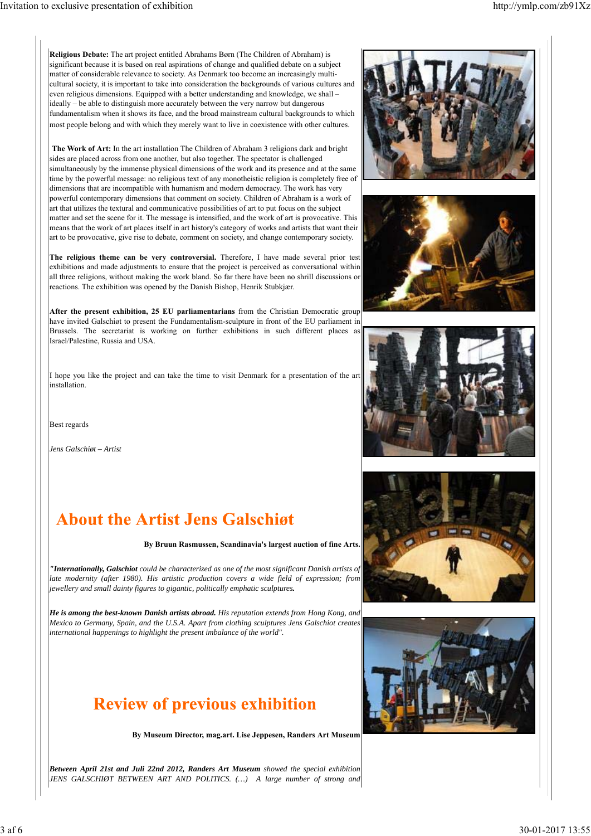**Religious Debate:** The art project entitled Abrahams Børn (The Children of Abraham) is significant because it is based on real aspirations of change and qualified debate on a subject matter of considerable relevance to society. As Denmark too become an increasingly multicultural society, it is important to take into consideration the backgrounds of various cultures and even religious dimensions. Equipped with a better understanding and knowledge, we shall – ideally – be able to distinguish more accurately between the very narrow but dangerous fundamentalism when it shows its face, and the broad mainstream cultural backgrounds to which most people belong and with which they merely want to live in coexistence with other cultures.

**The Work of Art:** In the art installation The Children of Abraham 3 religions dark and bright sides are placed across from one another, but also together. The spectator is challenged simultaneously by the immense physical dimensions of the work and its presence and at the same time by the powerful message: no religious text of any monotheistic religion is completely free of dimensions that are incompatible with humanism and modern democracy. The work has very powerful contemporary dimensions that comment on society. Children of Abraham is a work of art that utilizes the textural and communicative possibilities of art to put focus on the subject matter and set the scene for it. The message is intensified, and the work of art is provocative. This means that the work of art places itself in art history's category of works and artists that want their art to be provocative, give rise to debate, comment on society, and change contemporary society.

**The religious theme can be very controversial.** Therefore, I have made several prior test exhibitions and made adjustments to ensure that the project is perceived as conversational within all three religions, without making the work bland. So far there have been no shrill discussions or reactions. The exhibition was opened by the Danish Bishop, Henrik Stubkjær.

**After the present exhibition, 25 EU parliamentarians** from the Christian Democratic group have invited Galschiøt to present the Fundamentalism-sculpture in front of the EU parliament in Brussels. The secretariat is working on further exhibitions in such different places as Israel/Palestine, Russia and USA.

I hope you like the project and can take the time to visit Denmark for a presentation of the art installation.

Best regards

*Jens Galschiøt – Artist*

## **About the Artist Jens Galschigt**

#### **By Bruun Rasmussen, Scandinavia's largest auction of fine Arts.**

*"Internationally, Galschiot could be characterized as one of the most significant Danish artists of late modernity (after 1980). His artistic production covers a wide field of expression; from jewellery and small dainty figures to gigantic, politically emphatic sculptures.*

*He is among the best-known Danish artists abroad. His reputation extends from Hong Kong, and Mexico to Germany, Spain, and the U.S.A. Apart from clothing sculptures Jens Galschiot creates international happenings to highlight the present imbalance of the world"*.

## **Review of previous exhibition**

**By Museum Director, mag.art. Lise Jeppesen, Randers Art Museum**

*Between April 21st and Juli 22nd 2012, Randers Art Museum showed the special exhibition JENS GALSCHIØT BETWEEN ART AND POLITICS. (…) A large number of strong and*









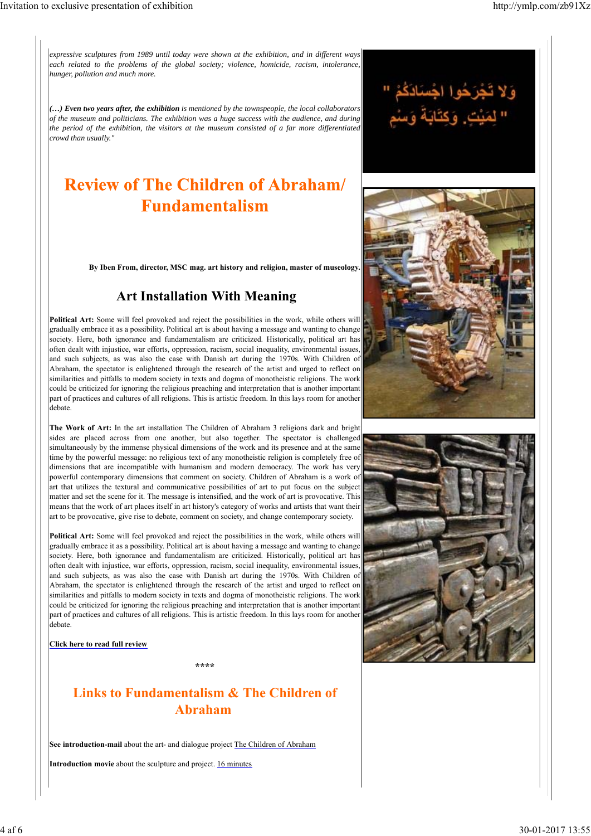*expressive sculptures from 1989 until today were shown at the exhibition, and in different ways each related to the problems of the global society; violence, homicide, racism, intolerance, hunger, pollution and much more.*

*(…) Even two years after, the exhibition is mentioned by the townspeople, the local collaborators of the museum and politicians. The exhibition was a huge success with the audience, and during the period of the exhibition, the visitors at the museum consisted of a far more differentiated crowd than usually."* 

### **Review of The Children of Abraham/ Fundamentalism**

**By Iben From, director, MSC mag. art history and religion, master of museology.**

#### **Art Installation With Meaning**

**Political Art:** Some will feel provoked and reject the possibilities in the work, while others will gradually embrace it as a possibility. Political art is about having a message and wanting to change society. Here, both ignorance and fundamentalism are criticized. Historically, political art has often dealt with injustice, war efforts, oppression, racism, social inequality, environmental issues, and such subjects, as was also the case with Danish art during the 1970s. With Children of Abraham, the spectator is enlightened through the research of the artist and urged to reflect on similarities and pitfalls to modern society in texts and dogma of monotheistic religions. The work could be criticized for ignoring the religious preaching and interpretation that is another important part of practices and cultures of all religions. This is artistic freedom. In this lays room for another debate.

**The Work of Art:** In the art installation The Children of Abraham 3 religions dark and bright sides are placed across from one another, but also together. The spectator is challenged simultaneously by the immense physical dimensions of the work and its presence and at the same time by the powerful message: no religious text of any monotheistic religion is completely free of dimensions that are incompatible with humanism and modern democracy. The work has very powerful contemporary dimensions that comment on society. Children of Abraham is a work of art that utilizes the textural and communicative possibilities of art to put focus on the subject matter and set the scene for it. The message is intensified, and the work of art is provocative. This means that the work of art places itself in art history's category of works and artists that want their art to be provocative, give rise to debate, comment on society, and change contemporary society.

**Political Art:** Some will feel provoked and reject the possibilities in the work, while others will gradually embrace it as a possibility. Political art is about having a message and wanting to change society. Here, both ignorance and fundamentalism are criticized. Historically, political art has often dealt with injustice, war efforts, oppression, racism, social inequality, environmental issues, and such subjects, as was also the case with Danish art during the 1970s. With Children of Abraham, the spectator is enlightened through the research of the artist and urged to reflect on similarities and pitfalls to modern society in texts and dogma of monotheistic religions. The work could be criticized for ignoring the religious preaching and interpretation that is another important part of practices and cultures of all religions. This is artistic freedom. In this lays room for another debate.

**Click here to read full review**

**\*\*\*\***

### **Links to Fundamentalism & The Children of Abraham**

**See introduction-mail** about the art- and dialogue project The Children of Abraham

**Introduction movie** about the sculpture and project. 16 minutes





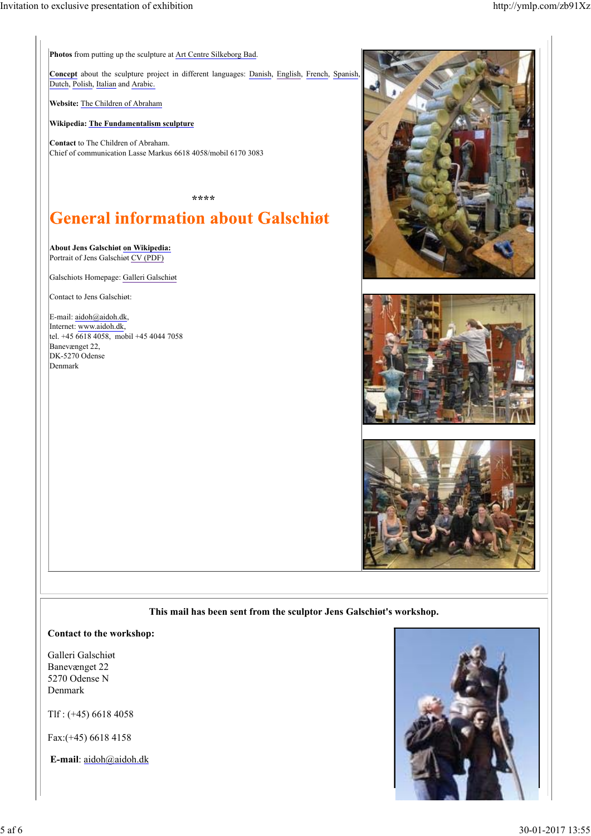**Photos** from putting up the sculpture at Art Centre Silkeborg Bad.

**Concept** about the sculpture project in different languages: Danish, English, French, Spanish, Dutch, Polish, Italian and Arabic.

**Website:** The Children of Abraham

**Wikipedia: The Fundamentalism sculpture**

**Contact** to The Children of Abraham. Chief of communication Lasse Markus 6618 4058/mobil 6170 3083

**\*\*\*\*** 

# **General information about Galschiøt**

 **About Jens Galschiøt on Wikipedia:** Portrait of Jens Galschiøt CV (PDF)

Galschiots Homepage: Galleri Galschiøt

Contact to Jens Galschiøt:

E-mail: aidoh@aidoh.dk, Internet: www.aidoh.dk, tel. +45 6618 4058, mobil +45 4044 7058 Banevænget 22, DK-5270 Odense Denmark







#### **This mail has been sent from the sculptor Jens Galschiøt's workshop.**

#### **Contact to the workshop:**

Galleri Galschiøt Banevænget 22 5270 Odense N Denmark

Tlf : (+45) 6618 4058

Fax:(+45) 6618 4158

**E-mail**: aidoh@aidoh.dk